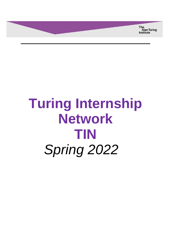**The** Alan Turing<br>Institute

# **Turing Internship Network TIN** *Spring 2022*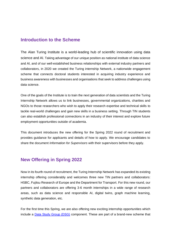### **Introduction to the Scheme**

The Alan Turing Institute is a world-leading hub of scientific innovation using data science and AI. Taking advantage of our unique position as national institute of data science and AI, and of our well-established business relationships with external industry partners and collaborators, in 2020 we created the Turing internship Network, a nationwide engagement scheme that connects doctoral students interested in acquiring industry experience and business awareness with businesses and organisations that seek to address challenges using data science.

One of the goals of the Institute is to train the next generation of data scientists and the Turing Internship Network allows us to link businesses, governmental organizations, charities and NGOs to those researchers who wish to apply their research expertise and technical skills to tackle real-world challenges and gain new skills in a business setting. Through TIN students can also establish professional connections in an industry of their interest and explore future employment opportunities outside of academia.

This document introduces the new offering for the Spring 2022 round of recruitment and provides guidance for applicants and details of how to apply. We encourage candidates to share the document *Information for Supervisors* with their supervisors before they apply.

## **New Offering in Spring 2022**

Now in its fourth round of recruitment, the Turing Internship Network has expanded its existing internship offering considerably and welcomes three new TIN partners and collaborators: HSBC, Fujitsu Research of Europe and the Department for Transport. For this new round, our partners and collaborators are offering 3-6 month internships in a wide range of research areas, such as data science and responsible AI, digital twins, graph machine learning, synthetic data generation, etc.

For the first time this Spring, we are also offering new exciting internship opportunities which include a [Data Study Group \(DSG\)](https://www.turing.ac.uk/collaborate-turing/data-study-groups) component. These are part of a brand-new scheme that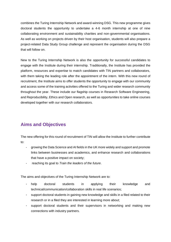combines the Turing Internship Network and award-winning DSG. This new programme gives doctoral students the opportunity to undertake a 4-6 month internship at one of nine collaborating environment and sustainability charities and non-governmental organisations. As well as working on projects driven by their host organisation, students will also prepare a project-related Data Study Group challenge and represent the organisation during the DSG that will follow on.

New to the Turing Internship Network is also the opportunity for successful candidates to engage with the Institute during their internship. Traditionally, the Institute has provided the platform, resources and expertise to match candidates with TIN partners and collaborators, with them taking the leading role after the appointment of the intern. With this new round of recruitment, the Institute aims to offer students the opportunity to engage with our community and access some of the training activities offered to the Turing and wider research community throughout the year. These include our flagship courses in Research Software Engineering, and Reproducibility, Ethics and Open research, as well as opportunities to take online courses developed together with our research collaborators.

# **Aims and Objectives**

The new offering for this round of recruitment of TIN will allow the Institute to further contribute to:

- growing the Data Science and AI fields in the UK more widely and support and promote links between businesses and academics, and enhance research and collaborations that have a positive impact on society;
- reaching its goal to *Train the leaders of the future*.

The aims and objectives of the Turing Internship Network are to:

- help doctoral students in applying their knowledge and technical/communication/collaboration skills in real life scenarios;
- support doctoral students in gaining new knowledge and skills in a filed related to their research or in a filed they are interested in learning more about;
- support doctoral students and their supervisors in networking and making new connections with industry partners.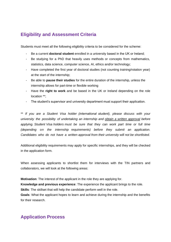# **Eligibility and Assessment Criteria**

Students must meet all the following eligibility criteria to be considered for the scheme:

- Be a current **doctoral student** enrolled in a university based in the UK or Ireland;
- Be studying for a PhD that heavily uses methods or concepts from mathematics, statistics, data science, computer science, AI, ethics and/or technology;
- Have completed the first year of doctoral studies (not counting training/rotation year) at the start of the internship;
- Be able to **pause their studies** for the entire duration of the internship, unless the internship allows for part-time or flexible working
- Have the **right to work** and be based in the UK or Ireland depending on the role location \*\*;
- The student's supervisor and university department must support their application.

\*\* *If you are a Student Visa holder (international student), please discuss with your university the possibility of undertaking an internship and obtain a written approval before applying. Student Visa holders must be sure that they can work part time or full time (depending on the internship requirements) before they submit an application. Candidates who do not have a written approval from their university will not be shortlisted.*

Additional eligibility requirements may apply for specific internships, and they will be checked in the application form.

When assessing applicants to shortlist them for interviews with the TIN partners and collaborators, we will look at the following areas:

**Motivation**: The interest of the applicant in the role they are applying for.

**Knowledge and previous experience**: The experience the applicant brings to the role.

**Skills**: The skillset that will help the candidate perform well in the role.

**Goals**: What the applicant hopes to learn and achieve during the internship and the benefits for their research.

## **Application Process**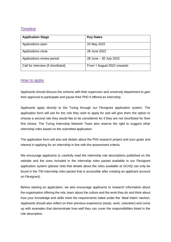## **Timeline**

| <b>Application Stage</b>            | <b>Key Dates</b>           |
|-------------------------------------|----------------------------|
| Applications open                   | 25 May 2022                |
| Applications close                  | 28 June 2022               |
| Applications review period          | 28 June - 30 July 2022     |
| Call for interview (if shortlisted) | From 1 August 2022 onwards |

#### How to apply

Applicants should discuss the scheme with their supervisor and university department to gain their approval to participate and pause their PhD if offered an internship.

Applicants apply directly to the Turing through our Flexigrant application system. The application form will ask for the role they wish to apply for and will give them the option to choose a second role they would like to be considered for if they are not shortlisted for their first choice. The Turing Internship Network Team also reserve the right to suggest other internship roles based on the submitted application.

The application form will also ask details about the PhD research project and your goals and interest in applying for an internship in line with the assessment criteria.

We encourage applicants to carefully read the internship role descriptions published on the website and the ones included in the internship roles packet available in our Flexigrant application system (please note that details about the roles available at GCHQ can only be found in the TIN internship roles packet that is accessible after creating an applicant account on Flexigrant).

Before starting an application, we also encourage applicants to research information about the organisation offering the role, learn about the culture and the work they do and think about how your knowledge and skills meet the requirements listed under the 'Ideal Intern' section. Applicants should also reflect on their previous experience (study, work, volunteer) and come up with examples that demonstrate how well they can cover the responsibilities listed in the role description.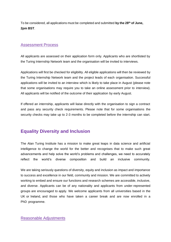To be considered, all applications must be completed and submitted **by the 28 <sup>t</sup><sup>h</sup> of June, 2pm BST**.

#### Assessment Process

All applicants are assessed on their application form only. Applicants who are shortlisted by the Turing Internship Network team and the organisation will be invited to interviews.

Applications will first be checked for eligibility. All eligible applications will then be reviewed by the Turing Internship Network team and the project leads of each organisation. Successful applications will be invited to an interview which is likely to take place in August (please note that some organisations may require you to take an online assessment prior to interview). All applicants will be notified of the outcome of their application by early August.

If offered an internship, applicants will liaise directly with the organisation to sign a contract and pass any security check requirements. Please note that for some organisations the security checks may take up to 2-3 months to be completed before the internship can start.

## **Equality Diversity and Inclusion**

The Alan Turing Institute has a mission to make great leaps in data science and artificial intelligence to change the world for the better and recognises that to make such great advancements and help solve the world's problems and challenges, we need to accurately reflect the world's diverse composition and build an inclusive community.

We are taking seriously questions of diversity, equity and inclusion as impact and importance to success and excellence in our field, community and mission. We are committed to actively working to embed and ensure our functions and research schemes are accessible, inclusive, and diverse. Applicants can be of any nationality and applicants from under-represented groups are encouraged to apply. We welcome applicants from all universities based in the UK or Ireland, and those who have taken a career break and are now enrolled in a PhD programme.

#### Reasonable Adjustments